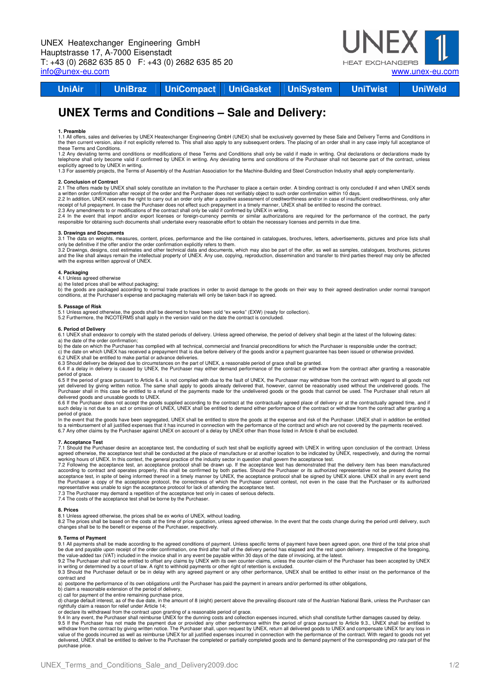

**UniAir UniBraz UniCompact UniGasket UniSystem UniTwist UniWeld** 

# **UNEX Terms and Conditions – Sale and Delivery:**

# **1. Preamble**

1.1 All offers, sales and deliveries by UNEX Heatexchanger Engineering GmbH (UNEX) shall be exclusively governed by these Sale and Delivery Terms and Conditions in<br>the then current version, also if not explicitly referred these Terms and Conditions.

1.2 Any deviating terms and conditions or modifications of these Terms and Conditions shall only be valid if made in writing. Oral declarations or declarations made by telephone shall only become valid if confirmed by UNEX in writing. Any deviating terms and conditions of the Purchaser shall not become part of the contract, unless

explicitly agreed to by UNEX in writing.<br>1.3 For assembly projects, the Terms of Assembly of the Austrian Association for the Machine-Building and Steel Construction Industry shall apply complementarily.

# **2. Conclusion of Contract**

2.1 The offers made by UNEX shall solely constitute an invitation to the Purchaser to place a certain order. A binding contract is only concluded if and when UNEX sends<br>a written order confirmation after receipt of the ord

2.2 In addition, UNEX reserves the right to carry out an order only after a positive assessment of creditworthiness and/or in case of insufficient creditworthiness, only after<br>2.3 Any amendments to or modifications of the

# **3. Drawings and Documents**

3.1 The data on weights, measures, content, prices, performance and the like contained in catalogues, brochures, letters, advertisements, pictures and price lists shall only be definitive if the offer and/or the order confirmation explicitly refers to them.

3.2 Drawings, designs, cost estimates and other technical data and documents, which may also be part of the offer, as well as samples, catalogues, brochures, pictures<br>and the like shall always remain the intellectual prope with the express written approval of UNEX.

# **4. Packaging**

4.1 Unless agreed otherwise

a) the listed prices shall be without packaging;<br>b) the goods are packaged according to normal trade practices in order to avoid damage to the goods on their way to their agreed destination under normal transport<br>condition

#### **5. Passage of Risk**

5.1 Unless agreed otherwise, the goods shall be deemed to have been sold "ex works" (EXW) (ready for collection). 5.2 Furthermore, the INCOTERMS shall apply in the version valid on the date the contract is concluded.

#### **6. Period of Delivery**

6.1 UNEX shall endeavor to comply with the stated periods of delivery. Unless agreed otherwise, the period of delivery shall begin at the latest of the following dates: a) the date of the order confirmation;

b) the date on which the Purchaser has complied with all technical, commercial and financial preconditions for which the Purchaser is responsible under the contract; c) the date on which UNEX has received a prepayment that is due before delivery of the goods and/or a payment guarantee has been issued or otherwise provided.

6.2 UNEX shall be entitled to make partial or advance deliveries.<br>6.3 Should delivery be delayed due to circumstances on the part of UNEX, a reasonable period of grace shall be granted.<br>6.4 If a delay in delivery is caused

period of grace.

6.5 If the period of grace pursuant to Article 6.4. is not complied with due to the fault of UNEX, the Purchaser may withdraw from the contract with regard to all goods not yet delivered by giving written notice. The same shall apply to goods already delivered that, however, cannot be reasonably used without the undelivered goods. The<br>Purchaser shall in this case be entitled to a refund of th

delivered goods and unusable goods to UNEX.<br>6.6 If the Purchaser does not accept the goods supplied according to the contract at the contractually agreed me and if ender and if ender the contractually agreed time, and if such delay is not due to an act or omission of UNEX, UNEX shall be entitled to demand either performance of the contract or withdraw from the contract after granting a period of grace.

In the event that the goods have been segregated, UNEX shall be entitled to store the goods at the expense and risk of the Purchaser. UNEX shall in addition be entitled<br>to a reimbursement of all justified expenses that it

### **7. Acceptance Test**

7.1 Should the Purchaser desire an acceptance test, the conducting of such test shall be explicitly agreed with UNEX in writing upon conclusion of the contract. Unless<br>agreed otherwise, the acceptance test shall be conduct

working hours of UNEX. In this context, the general practice of the industry sector in question shall govern the acceptance test.<br>7.2 Following the acceptance test, an acceptance protocol shall be drawn up. If the acceptan according to contract and operates properly, this shall be confirmed by both parties. Should the Purchaser or its authorized representative not be present during the<br>acceptance test, in spite of being informed thereof in a

7.3 The Purchaser may demand a repetition of the acceptance test only in cases of serious defects. 7.4 The costs of the acceptance test shall be borne by the Purchaser.

# **8. Prices**

8.1 Unless agreed otherwise, the prices shall be ex works of UNEX, without loading.

8.2 The prices shall be based on the costs at the time of price quotation, unless agreed otherwise. In the event that the costs change during the period until delivery, such<br>changes shall be to the benefit or expense of th

# **9. Terms of Payment**

9.1 All payments shall be made according to the agreed conditions of payment. Unless specific terms of payment have been agreed upon, one third of the total price shall<br>be due and payable upon receipt of the order confirma

the value-added tax (VAT) included in the invoice shall in any event be payable within 30 days of the date of invoicing, at the latest.<br>9.2 The Purchaser shall not be entitled to offset any claims by UNEX with its own coun 9.3 Should the Purchaser default or be in delay with any agreed payment or any other performance, UNEX shall be entitled to either insist on the performance of the

contract and a) postpone the performance of its own obligations until the Purchaser has paid the payment in arrears and/or performed its other obligations,

b) claim a reasonable extension of the period of delivery,

c) call for payment of the entire remaining purchase price,<br>d) charge default interest, as of the due date, in the amount of 8 (eight) percent above the prevailing discount rate of the Austrian National Bank, unless the Pu

rightfully claim a reason for relief under Article 14;<br>9.4 In any event, the Purchaser shall reimburse UNEX for the dunning costs and collection expenses incurred, which shall constitute further damages caused by delay.<br>9. value of the goods incurred as well as reimburse UNEX for all justified expenses incurred in connection with the performance of the contract. With regard to goods not yet delivered, UNEX shall be entitled to deliver to the Purchaser the completed or partially completed goods and to demand payment of the corresponding pro rata part of the purchase price.